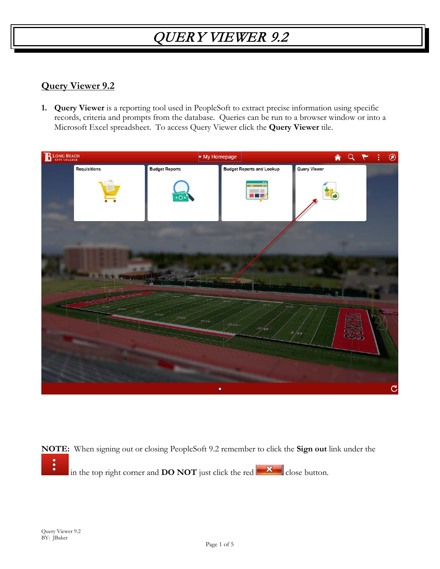#### **Query Viewer 9.2**

**1. Query Viewer** is a reporting tool used in PeopleSoft to extract precise information using specific records, criteria and prompts from the database. Queries can be run to a browser window or into a Microsoft Excel spreadsheet. To access Query Viewer click the **Query Viewer** tile.



**NOTE:** When signing out or closing PeopleSoft 9.2 remember to click the **Sign out** link under the i in the top right corner and **DO NOT** just click the red  $\mathbf{\times}$  close button.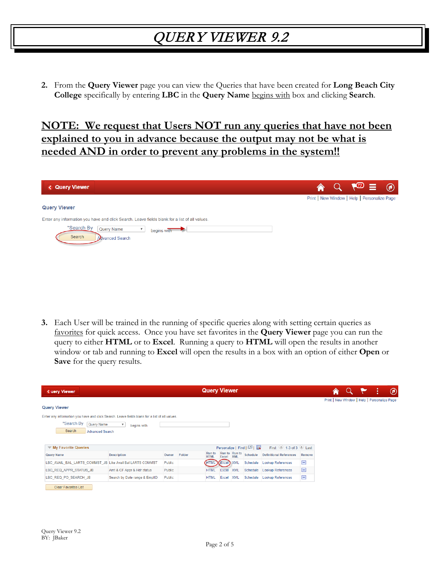**2.** From the **Query Viewer** page you can view the Queries that have been created for **Long Beach City College** specifically by entering **LBC** in the **Query Name** begins with box and clicking **Search**.

### **NOTE: We request that Users NOT run any queries that have not been explained to you in advance because the output may not be what is needed AND in order to prevent any problems in the system!!**

| <b>&lt; Query Viewer</b>                                                                      |  | <mark>а</mark> | $\sqrt{2} \equiv 0$                          |  |
|-----------------------------------------------------------------------------------------------|--|----------------|----------------------------------------------|--|
|                                                                                               |  |                | Print   New Window   Help   Personalize Page |  |
| <b>Query Viewer</b>                                                                           |  |                |                                              |  |
| Enter any information you have and click Search. Leave fields blank for a list of all values. |  |                |                                              |  |
| *Search By<br><b>Query Name</b><br>begins with<br>Search<br>Advanced Search                   |  |                |                                              |  |

**3.** Each User will be trained in the running of specific queries along with setting certain queries as favorites for quick access. Once you have set favorites in the **Query Viewer** page you can run the query to either **HTML** or to **Excel**. Running a query to **HTML** will open the results in another window or tab and running to **Excel** will open the results in a box with an option of either **Open** or **Save** for the query results.

| <b>&lt; uery Viewer</b>                                                                       |                                        |        |        | <b>Query Viewer</b>          |                |                             |                        | ⋒                                         |                | $^{\circledR}$                               |  |  |
|-----------------------------------------------------------------------------------------------|----------------------------------------|--------|--------|------------------------------|----------------|-----------------------------|------------------------|-------------------------------------------|----------------|----------------------------------------------|--|--|
|                                                                                               |                                        |        |        |                              |                |                             |                        |                                           |                | Print   New Window   Help   Personalize Page |  |  |
| <b>Query Viewer</b>                                                                           |                                        |        |        |                              |                |                             |                        |                                           |                |                                              |  |  |
| Enter any information you have and click Search. Leave fields blank for a list of all values. |                                        |        |        |                              |                |                             |                        |                                           |                |                                              |  |  |
| *Search By<br>Query Name                                                                      | $\overline{\mathbf{v}}$<br>begins with |        |        |                              |                |                             |                        |                                           |                |                                              |  |  |
| Search<br><b>Advanced Search</b>                                                              |                                        |        |        |                              |                |                             |                        |                                           |                |                                              |  |  |
|                                                                                               |                                        |        |        |                              |                |                             |                        |                                           |                |                                              |  |  |
| $\blacktriangledown$ My Favorite Queries                                                      |                                        |        |        |                              |                |                             | Personalize   Find   2 | First $\bigcirc$ 1-3 of 3 $\bigcirc$ Last |                |                                              |  |  |
| <b>Query Name</b>                                                                             | <b>Description</b>                     | Owner  | Folder | <b>Run</b> to<br><b>HTML</b> | Excel          | Run to Run to<br><b>XML</b> | Schedule               | <b>Definitional References</b>            | Remove         |                                              |  |  |
| LBC_AVAIL_BAL_LARTS_COMMST_JB_Like Avail Bal LARTS COMMST                                     |                                        | Public |        |                              | HTML Excel XML |                             | Schedule               | <b>Lookup References</b>                  | $\blacksquare$ |                                              |  |  |
| LBC_REQ_APPR_STATUS_JB                                                                        | Amt & CF Appr & Hdr status             | Public |        | <b>HTML</b>                  | Excel          | <b>XML</b>                  | Schedule               | <b>Lookup References</b>                  | $\blacksquare$ |                                              |  |  |
| LBC REQ PO SEARCH JB                                                                          | Search by Date range & EmplID          | Public |        | <b>HTML</b>                  | Excel          | <b>XML</b>                  | Schedule               | <b>Lookup References</b>                  | Ξ              |                                              |  |  |
| <b>Clear Favorites List</b>                                                                   |                                        |        |        |                              |                |                             |                        |                                           |                |                                              |  |  |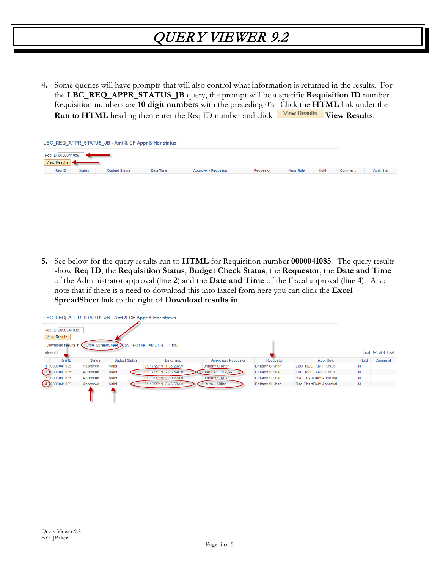**4.** Some queries will have prompts that will also control what information is returned in the results. For the **LBC\_REQ\_APPR\_STATUS\_JB** query, the prompt will be a specific **Requisition ID** number. Requisition numbers are **10 digit numbers** with the preceding 0's. Click the **HTML** link under the **Run to HTML** heading then enter the Req ID number and click **View Results** View Results.

| LBC_REQ_APPR_STATUS_JB - Amt & CF Appr & Hdr status |           |                             |           |                  |             |                |                  |  |  |  |  |  |  |
|-----------------------------------------------------|-----------|-----------------------------|-----------|------------------|-------------|----------------|------------------|--|--|--|--|--|--|
| Req ID 0000041085                                   |           |                             |           |                  |             |                |                  |  |  |  |  |  |  |
| View Results                                        |           |                             |           |                  |             |                |                  |  |  |  |  |  |  |
| <b>Status</b><br>Reg ID<br><b>Budget Status</b>     | Date/Time | <b>Approver / Requester</b> | Requestor | <b>Appr Rule</b> | <b>Hold</b> | <b>Comment</b> | <b>Appr Stat</b> |  |  |  |  |  |  |

**5.** See below for the query results run to **HTML** for Requisition number **0000041085**. The query results show **Req ID**, the **Requisition Status**, **Budget Check Status**, the **Requestor**, the **Date and Time** of the Administrator approval (line **2**) and the **Date and Time** of the Fiscal approval (line **4**). Also note that if there is a need to download this into Excel from here you can click the **Excel SpreadSheet** link to the right of **Download results in**.

|                                          |               |                      | LBC_REQ_APPR_STATUS_JB - Amt & CF Appr & Hdr status                   |                        |                        |                                |      |                     |
|------------------------------------------|---------------|----------------------|-----------------------------------------------------------------------|------------------------|------------------------|--------------------------------|------|---------------------|
| Reg ID 0000041085<br><b>View Results</b> |               |                      |                                                                       |                        |                        |                                |      |                     |
| <b>View All</b>                          |               |                      | Download results in C Excel SpreadSheet CSV Text File XML File (1 kb) |                        |                        |                                |      | First 1-4 of 4 Last |
| Reg ID                                   | <b>Status</b> | <b>Budget Status</b> | Date/Time                                                             | Approver / Requester   | Requestor              | <b>Appr Rule</b>               | Hold | Comment             |
| 0000041085                               | Approved      | Valid                | 01/17/2019 1:05:20AM                                                  | Brittany S Khan        | Brittany S Khan        | LBC REQ AMT ONLY               | N    |                     |
| 2 0000041085                             | Approved      | Valid                | 01/17/2019 2:03:59PM                                                  | <b>Brendan J Hayes</b> | <b>Brittany S Khan</b> | LBC REQ AMT ONLY               | N    |                     |
| 0000041085                               | Approved      | Valid                | 01/18/2019 8:30:22AM                                                  | <b>Brittany S Khan</b> | <b>Brittany S Khan</b> | <b>Reg ChartField Approval</b> | N    |                     |
| (4)0000041085                            | Approved      | Valid                | 01/18/2019 8:46:58AM                                                  | Laura J Miller         | <b>Brittany S Khan</b> | Reg ChartField Approval        | N    |                     |
|                                          |               |                      |                                                                       |                        |                        |                                |      |                     |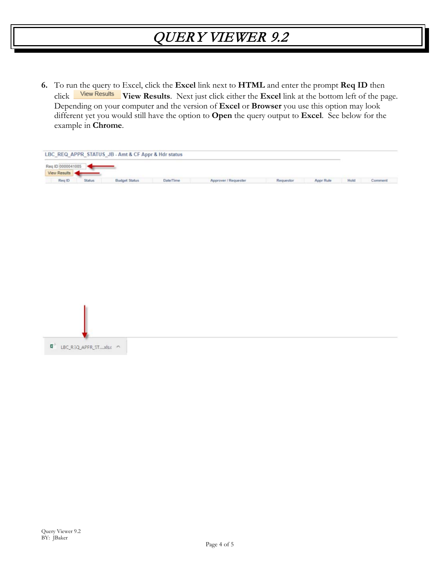**6.** To run the query to Excel, click the **Excel** link next to **HTML** and enter the prompt **Req ID** then click **View Results**. Next just click either the **Excel** link at the bottom left of the page. Depending on your computer and the version of **Excel** or **Browser** you use this option may look different yet you would still have the option to **Open** the query output to **Excel**. See below for the example in **Chrome**.

| Comment |
|---------|
|         |
|         |
|         |
|         |
|         |
|         |
|         |
|         |
|         |
|         |